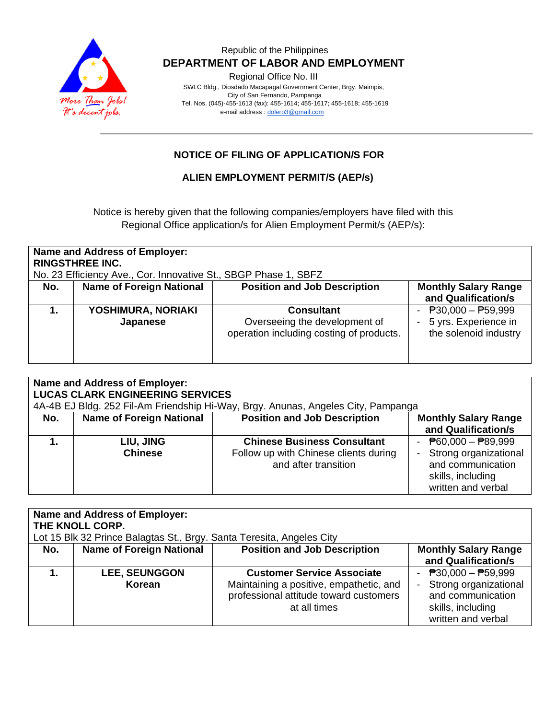

## Republic of the Philippines  **DEPARTMENT OF LABOR AND EMPLOYMENT**

Regional Office No. III

 SWLC Bldg., Diosdado Macapagal Government Center, Brgy. Maimpis, City of San Fernando, Pampanga Tel. Nos. (045)-455-1613 (fax): 455-1614; 455-1617; 455-1618; 455-1619 e-mail address [: dolero3@gmail.com](mailto:dolero3@gmail.com)

# **NOTICE OF FILING OF APPLICATION/S FOR**

#### **ALIEN EMPLOYMENT PERMIT/S (AEP/s)**

Notice is hereby given that the following companies/employers have filed with this Regional Office application/s for Alien Employment Permit/s (AEP/s):

| <b>Name and Address of Employer:</b><br><b>RINGSTHREE INC.</b><br>No. 23 Efficiency Ave., Cor. Innovative St., SBGP Phase 1, SBFZ |                                 |                                          |                                                    |  |  |  |
|-----------------------------------------------------------------------------------------------------------------------------------|---------------------------------|------------------------------------------|----------------------------------------------------|--|--|--|
| No.                                                                                                                               | <b>Name of Foreign National</b> | <b>Position and Job Description</b>      | <b>Monthly Salary Range</b><br>and Qualification/s |  |  |  |
|                                                                                                                                   |                                 |                                          |                                                    |  |  |  |
|                                                                                                                                   | YOSHIMURA, NORIAKI              | <b>Consultant</b>                        | $\overline{P}30,000 - \overline{P}59,999$          |  |  |  |
|                                                                                                                                   | Japanese                        | Overseeing the development of            | 5 yrs. Experience in                               |  |  |  |
|                                                                                                                                   |                                 | operation including costing of products. | the solenoid industry                              |  |  |  |
|                                                                                                                                   |                                 |                                          |                                                    |  |  |  |
|                                                                                                                                   |                                 |                                          |                                                    |  |  |  |
|                                                                                                                                   |                                 |                                          |                                                    |  |  |  |

| <b>Name and Address of Employer:</b><br><b>LUCAS CLARK ENGINEERING SERVICES</b><br>4A-4B EJ Bldg. 252 Fil-Am Friendship Hi-Way, Brgy. Anunas, Angeles City, Pampanga |                                 |                                                                                                     |                                                                                                                                      |  |  |
|----------------------------------------------------------------------------------------------------------------------------------------------------------------------|---------------------------------|-----------------------------------------------------------------------------------------------------|--------------------------------------------------------------------------------------------------------------------------------------|--|--|
| No.                                                                                                                                                                  | <b>Name of Foreign National</b> | <b>Position and Job Description</b>                                                                 | <b>Monthly Salary Range</b><br>and Qualification/s                                                                                   |  |  |
|                                                                                                                                                                      | LIU, JING<br><b>Chinese</b>     | <b>Chinese Business Consultant</b><br>Follow up with Chinese clients during<br>and after transition | - $\overline{P}60,000 - \overline{P}89,999$<br>Strong organizational<br>and communication<br>skills, including<br>written and verbal |  |  |

| Name and Address of Employer:                                         |                                 |                                                                                                                                        |                                                                                                                                    |  |  |  |
|-----------------------------------------------------------------------|---------------------------------|----------------------------------------------------------------------------------------------------------------------------------------|------------------------------------------------------------------------------------------------------------------------------------|--|--|--|
| THE KNOLL CORP.                                                       |                                 |                                                                                                                                        |                                                                                                                                    |  |  |  |
| Lot 15 Blk 32 Prince Balagtas St., Brgy. Santa Teresita, Angeles City |                                 |                                                                                                                                        |                                                                                                                                    |  |  |  |
| No.                                                                   | <b>Name of Foreign National</b> | <b>Position and Job Description</b>                                                                                                    | <b>Monthly Salary Range</b><br>and Qualification/s                                                                                 |  |  |  |
|                                                                       | <b>LEE, SEUNGGON</b><br>Korean  | <b>Customer Service Associate</b><br>Maintaining a positive, empathetic, and<br>professional attitude toward customers<br>at all times | $\overline{P}30,000 - \overline{P}59,999$<br>Strong organizational<br>and communication<br>skills, including<br>written and verbal |  |  |  |